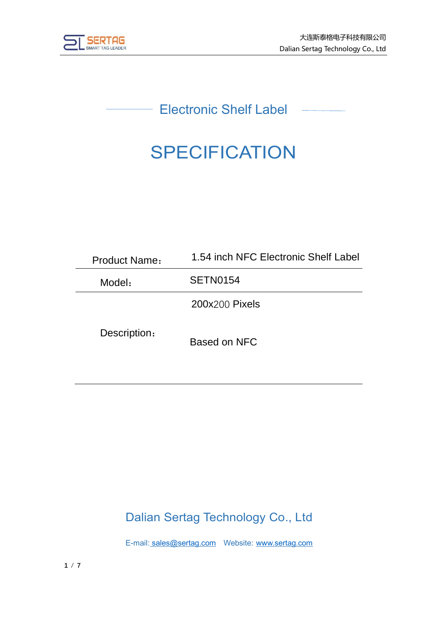

Electronic Shelf Label

# **SPECIFICATION**

| <b>Product Name:</b> | 1.54 inch NFC Electronic Shelf Label |  |
|----------------------|--------------------------------------|--|
| Model:               | SETN0154                             |  |
|                      | 200x200 Pixels                       |  |
| Description:         | Based on NFC                         |  |

# Dalian Sertag Technology Co., Ltd

E-mail: [sales@sertag.com](mailto:sales@sertag.com) Website: [www.sertag.com](http://www.sertag.com/)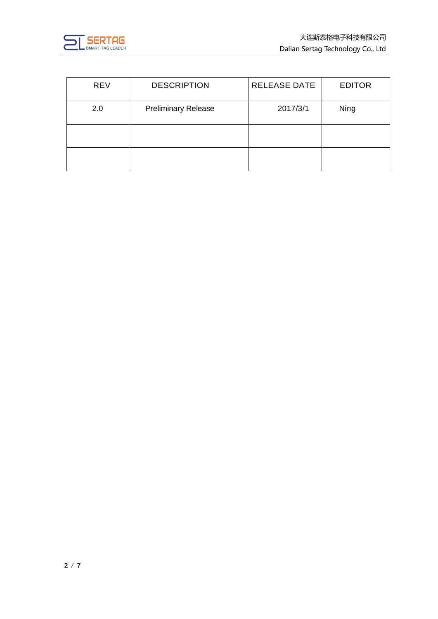

| <b>REV</b> | <b>DESCRIPTION</b>         | <b>RELEASE DATE</b> | <b>EDITOR</b> |
|------------|----------------------------|---------------------|---------------|
| 2.0        | <b>Preliminary Release</b> | 2017/3/1            | Ning          |
|            |                            |                     |               |
|            |                            |                     |               |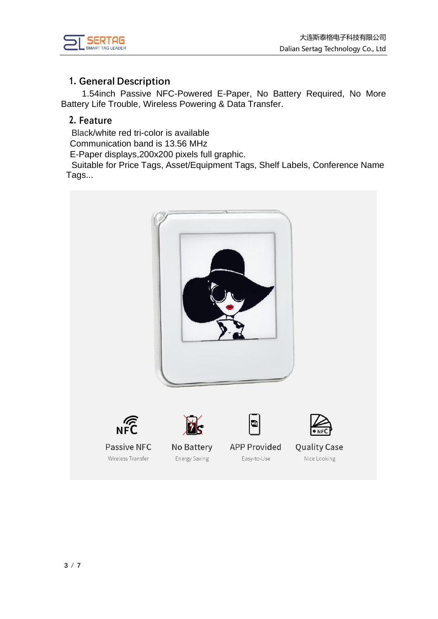

#### **1. General Description**

1.54inch Passive NFC-Powered E-Paper, No Battery Required, No More Battery Life Trouble, Wireless Powering & Data Transfer.

#### **2. Feature**

Black/white red tri-color is available

Communication band is 13.56 MHz

E-Paper displays,200x200 pixels full graphic.

Suitable for Price Tags, Asset/Equipment Tags, Shelf Labels, Conference Name Tags...

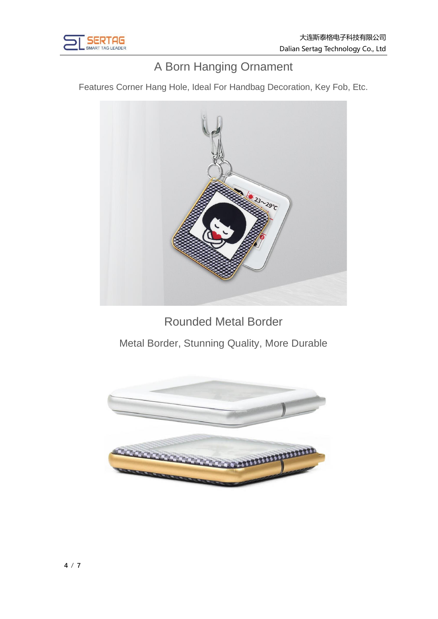

# A Born Hanging Ornament

Features Corner Hang Hole, Ideal For Handbag Decoration, Key Fob, Etc.



Rounded Metal Border

Metal Border, Stunning Quality, More Durable

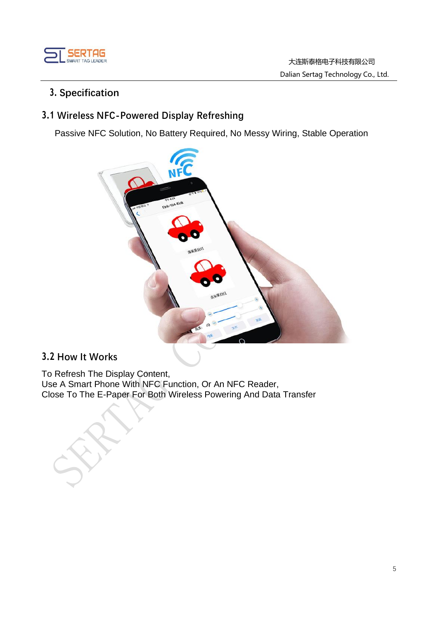

#### **3. Specification**

#### **3.1 Wireless NFC-Powered Display Refreshing**

Passive NFC Solution, No Battery Required, No Messy Wiring, Stable Operation



#### **3.2 How It Works**

To Refresh The Display Content, Use A Smart Phone With NFC Function, Or An NFC Reader, Close To The E-Paper For Both Wireless Powering And Data Transfer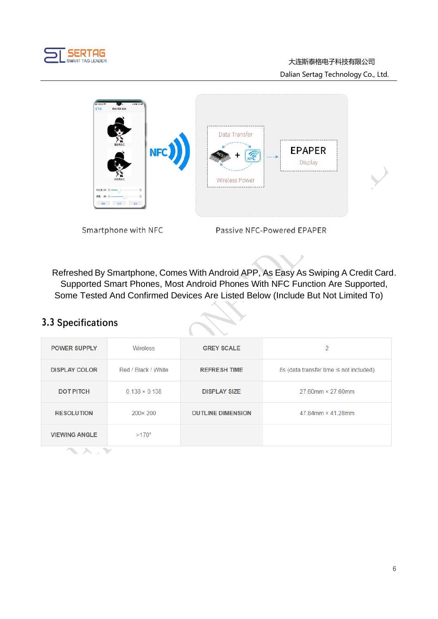

#### 大连斯泰格电子科技有限公司 Dalian Sertag Technology Co., Ltd.



Smartphone with NFC

Passive NFC-Powered EPAPER

Refreshed By Smartphone, Comes With Android APP, As Easy As Swiping A Credit Card. Supported Smart Phones, Most Android Phones With NFC Function Are Supported, Some Tested And Confirmed Devices Are Listed Below (Include But Not Limited To)

### **3.3 Specifications**

| <b>POWER SUPPLY</b>  | Wireless             | <b>GREY SCALE</b>        | 2                                       |
|----------------------|----------------------|--------------------------|-----------------------------------------|
| <b>DISPLAY COLOR</b> | Red / Black / White  | <b>REFRESH TIME</b>      | 8s (data transfer time is not included) |
| <b>DOT PITCH</b>     | $0.138 \times 0.138$ | <b>DISPLAY SIZE</b>      | $27.60$ mm $\times$ 27.60mm             |
| <b>RESOLUTION</b>    | $200 \times 200$     | <b>OUTLINE DIMENSION</b> | 47 84mm $\times$ 41 28mm                |
| <b>VIEWING ANGLE</b> | $>170^\circ$         |                          |                                         |
|                      |                      |                          |                                         |